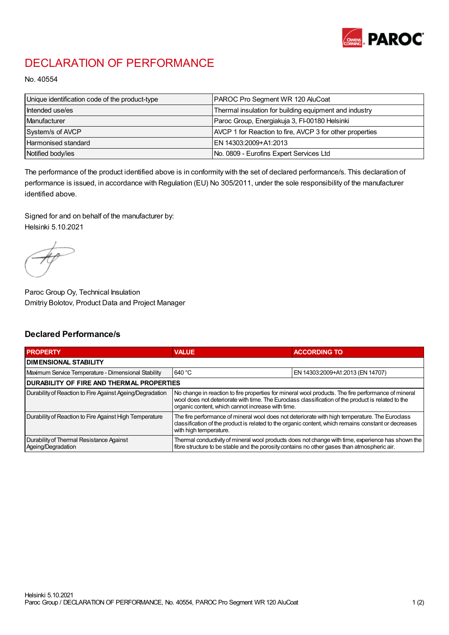

## DECLARATION OF PERFORMANCE

No. 40554

| Unique identification code of the product-type | PAROC Pro Segment WR 120 AluCoat                         |
|------------------------------------------------|----------------------------------------------------------|
| Intended use/es                                | Thermal insulation for building equipment and industry   |
| Manufacturer                                   | Paroc Group, Energiakuja 3, FI-00180 Helsinki            |
| System/s of AVCP                               | AVCP 1 for Reaction to fire, AVCP 3 for other properties |
| Harmonised standard                            | IEN 14303:2009+A1:2013                                   |
| Notified body/ies                              | No. 0809 - Eurofins Expert Services Ltd                  |

The performance of the product identified above is in conformity with the set of declared performance/s. This declaration of performance is issued, in accordance with Regulation (EU) No 305/2011, under the sole responsibility of the manufacturer identified above.

Signed for and on behalf of the manufacturer by: Helsinki 5.10.2021

Paroc Group Oy, Technical Insulation Dmitriy Bolotov, Product Data and Project Manager

## Declared Performance/s

| <b>PROPERTY</b>                                                | <b>VALUE</b>                                                                                                                                                                                                                                                   | <b>ACCORDING TO</b>              |  |
|----------------------------------------------------------------|----------------------------------------------------------------------------------------------------------------------------------------------------------------------------------------------------------------------------------------------------------------|----------------------------------|--|
| <b>DIMENSIONAL STABILITY</b>                                   |                                                                                                                                                                                                                                                                |                                  |  |
| Maximum Service Temperature - Dimensional Stability            | 640 °C                                                                                                                                                                                                                                                         | EN 14303:2009+A1:2013 (EN 14707) |  |
| <b>DURABILITY OF FIRE AND THERMAL PROPERTIES</b>               |                                                                                                                                                                                                                                                                |                                  |  |
| Durability of Reaction to Fire Against Ageing/Degradation      | No change in reaction to fire properties for mineral wool products. The fire performance of mineral<br>wool does not deteriorate with time. The Euroclass classification of the product is related to the<br>organic content, which cannot increase with time. |                                  |  |
| Durability of Reaction to Fire Against High Temperature        | The fire performance of mineral wool does not deteriorate with high temperature. The Euroclass<br>classification of the product is related to the organic content, which remains constant or decreases<br>with high temperature.                               |                                  |  |
| Durability of Thermal Resistance Against<br>Ageing/Degradation | Thermal conductivity of mineral wool products does not change with time, experience has shown the<br>fibre structure to be stable and the porosity contains no other gases than atmospheric air.                                                               |                                  |  |